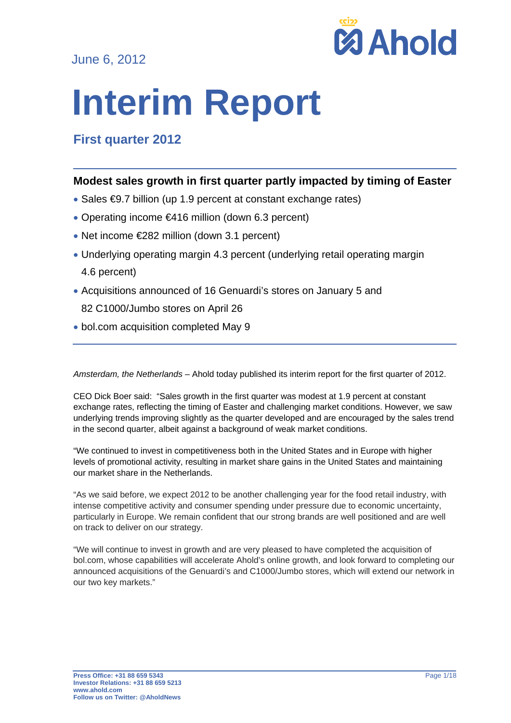June 6, 2012



# **Interim Report**

# **First quarter 2012**

## **Modest sales growth in first quarter partly impacted by timing of Easter**

- Sales €9.7 billion (up 1.9 percent at constant exchange rates)
- Operating income €416 million (down 6.3 percent)
- Net income €282 million (down 3.1 percent)
- Underlying operating margin 4.3 percent (underlying retail operating margin 4.6 percent)
- Acquisitions announced of 16 Genuardi's stores on January 5 and
	- 82 C1000/Jumbo stores on April 26
- bol.com acquisition completed May 9

*Amsterdam, the Netherlands* – Ahold today published its interim report for the first quarter of 2012.

CEO Dick Boer said: "Sales growth in the first quarter was modest at 1.9 percent at constant exchange rates, reflecting the timing of Easter and challenging market conditions. However, we saw underlying trends improving slightly as the quarter developed and are encouraged by the sales trend in the second quarter, albeit against a background of weak market conditions.

"We continued to invest in competitiveness both in the United States and in Europe with higher levels of promotional activity, resulting in market share gains in the United States and maintaining our market share in the Netherlands.

"As we said before, we expect 2012 to be another challenging year for the food retail industry, with intense competitive activity and consumer spending under pressure due to economic uncertainty, particularly in Europe. We remain confident that our strong brands are well positioned and are well on track to deliver on our strategy.

"We will continue to invest in growth and are very pleased to have completed the acquisition of bol.com, whose capabilities will accelerate Ahold's online growth, and look forward to completing our announced acquisitions of the Genuardi's and C1000/Jumbo stores, which will extend our network in our two key markets."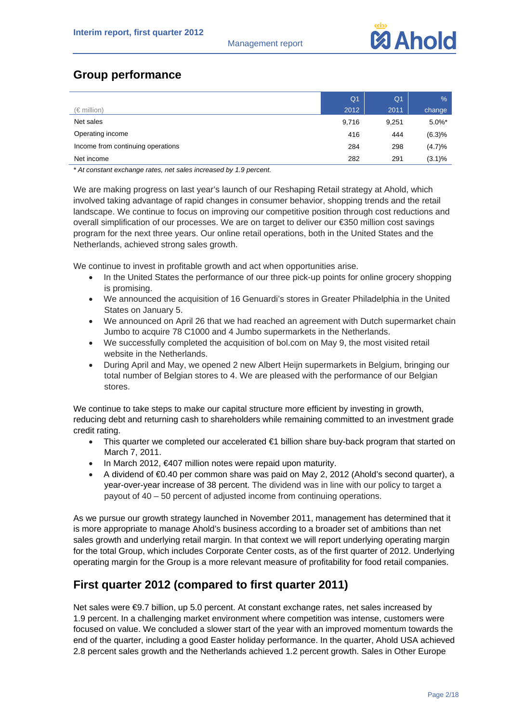# **Group performance**

|                                   | Q <sub>1</sub> | Q <sub>1</sub> | $\frac{9}{6}$ |
|-----------------------------------|----------------|----------------|---------------|
| $(\in$ million)                   | 2012           | 2011           | change        |
| Net sales                         | 9,716          | 9.251          | $5.0\%$ *     |
| Operating income                  | 416            | 444            | (6.3)%        |
| Income from continuing operations | 284            | 298            | (4.7)%        |
| Net income                        | 282            | 291            | $(3.1)\%$     |

*\* At constant exchange rates, net sales increased by 1.9 percent.*

We are making progress on last year's launch of our Reshaping Retail strategy at Ahold, which involved taking advantage of rapid changes in consumer behavior, shopping trends and the retail landscape. We continue to focus on improving our competitive position through cost reductions and overall simplification of our processes. We are on target to deliver our €350 million cost savings program for the next three years. Our online retail operations, both in the United States and the Netherlands, achieved strong sales growth.

We continue to invest in profitable growth and act when opportunities arise.

- In the United States the performance of our three pick-up points for online grocery shopping is promising.
- We announced the acquisition of 16 Genuardi's stores in Greater Philadelphia in the United States on January 5.
- We announced on April 26 that we had reached an agreement with Dutch supermarket chain Jumbo to acquire 78 C1000 and 4 Jumbo supermarkets in the Netherlands.
- We successfully completed the acquisition of bol.com on May 9, the most visited retail website in the Netherlands.
- During April and May, we opened 2 new Albert Heijn supermarkets in Belgium, bringing our total number of Belgian stores to 4. We are pleased with the performance of our Belgian stores.

We continue to take steps to make our capital structure more efficient by investing in growth, reducing debt and returning cash to shareholders while remaining committed to an investment grade credit rating.

- This quarter we completed our accelerated €1 billion share buy-back program that started on March 7, 2011.
- In March 2012, €407 million notes were repaid upon maturity.
- A dividend of €0.40 per common share was paid on May 2, 2012 (Ahold's second quarter), a year-over-year increase of 38 percent. The dividend was in line with our policy to target a payout of 40 – 50 percent of adjusted income from continuing operations.

As we pursue our growth strategy launched in November 2011, management has determined that it is more appropriate to manage Ahold's business according to a broader set of ambitions than net sales growth and underlying retail margin. In that context we will report underlying operating margin for the total Group, which includes Corporate Center costs, as of the first quarter of 2012. Underlying operating margin for the Group is a more relevant measure of profitability for food retail companies.

# **First quarter 2012 (compared to first quarter 2011)**

Net sales were €9.7 billion, up 5.0 percent. At constant exchange rates, net sales increased by 1.9 percent. In a challenging market environment where competition was intense, customers were focused on value. We concluded a slower start of the year with an improved momentum towards the end of the quarter, including a good Easter holiday performance. In the quarter, Ahold USA achieved 2.8 percent sales growth and the Netherlands achieved 1.2 percent growth. Sales in Other Europe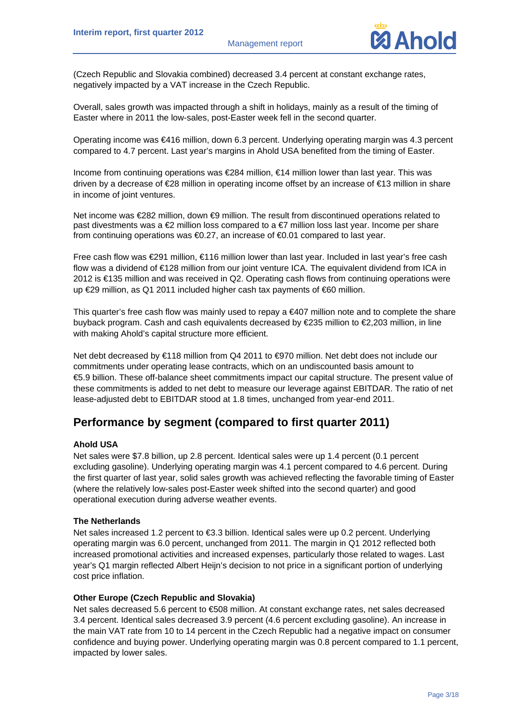

(Czech Republic and Slovakia combined) decreased 3.4 percent at constant exchange rates, negatively impacted by a VAT increase in the Czech Republic.

Overall, sales growth was impacted through a shift in holidays, mainly as a result of the timing of Easter where in 2011 the low-sales, post-Easter week fell in the second quarter.

Operating income was €416 million, down 6.3 percent. Underlying operating margin was 4.3 percent compared to 4.7 percent. Last year's margins in Ahold USA benefited from the timing of Easter.

Income from continuing operations was €284 million, €14 million lower than last year. This was driven by a decrease of €28 million in operating income offset by an increase of €13 million in share in income of joint ventures.

Net income was €282 million, down  $\bigcirc$ 9 million. The result from discontinued operations related to past divestments was a  $\epsilon$ 2 million loss compared to a  $\epsilon$ 7 million loss last year. Income per share from continuing operations was €0.27, an increase of €0.01 compared to last year.

Free cash flow was €291 million, €116 million lower than last year. Included in last year's free cash flow was a dividend of €128 million from our joint venture ICA. The equivalent dividend from ICA in 2012 is €135 million and was received in Q2. Operating cash flows from continuing operations were up €29 million, as Q1 2011 included higher cash tax payments of €60 million.

This quarter's free cash flow was mainly used to repay a €407 million note and to complete the share buyback program. Cash and cash equivalents decreased by €235 million to €2,203 million, in line with making Ahold's capital structure more efficient.

Net debt decreased by €118 million from Q4 2011 to €970 million. Net debt does not include our commitments under operating lease contracts, which on an undiscounted basis amount to €5.9 billion. These off-balance sheet commitments impact our capital structure. The present value of these commitments is added to net debt to measure our leverage against EBITDAR. The ratio of net lease-adjusted debt to EBITDAR stood at 1.8 times, unchanged from year-end 2011.

## **Performance by segment (compared to first quarter 2011)**

#### **Ahold USA**

Net sales were \$7.8 billion, up 2.8 percent. Identical sales were up 1.4 percent (0.1 percent excluding gasoline). Underlying operating margin was 4.1 percent compared to 4.6 percent. During the first quarter of last year, solid sales growth was achieved reflecting the favorable timing of Easter (where the relatively low-sales post-Easter week shifted into the second quarter) and good operational execution during adverse weather events.

#### **The Netherlands**

Net sales increased 1.2 percent to €3.3 billion. Identical sales were up 0.2 percent. Underlying operating margin was 6.0 percent, unchanged from 2011. The margin in Q1 2012 reflected both increased promotional activities and increased expenses, particularly those related to wages. Last year's Q1 margin reflected Albert Heijn's decision to not price in a significant portion of underlying cost price inflation.

#### **Other Europe (Czech Republic and Slovakia)**

Net sales decreased 5.6 percent to €508 million. At constant exchange rates, net sales decreased 3.4 percent. Identical sales decreased 3.9 percent (4.6 percent excluding gasoline). An increase in the main VAT rate from 10 to 14 percent in the Czech Republic had a negative impact on consumer confidence and buying power. Underlying operating margin was 0.8 percent compared to 1.1 percent, impacted by lower sales.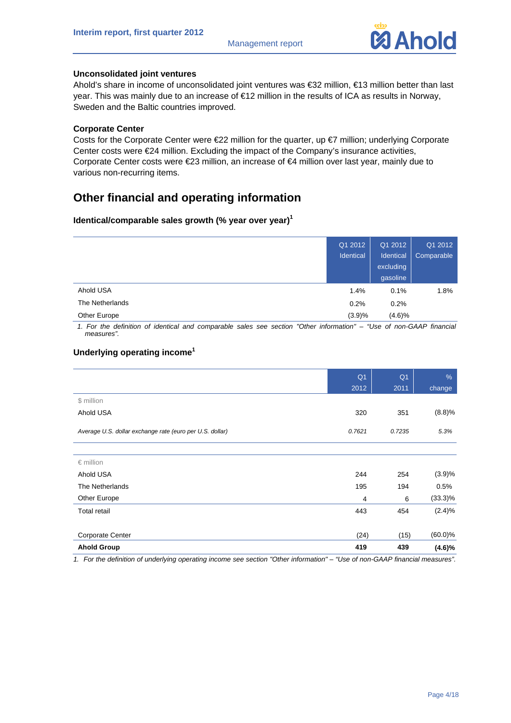

#### **Unconsolidated joint ventures**

Ahold's share in income of unconsolidated joint ventures was €32 million, €13 million better than last year. This was mainly due to an increase of €12 million in the results of ICA as results in Norway, Sweden and the Baltic countries improved.

#### **Corporate Center**

Costs for the Corporate Center were €22 million for the quarter, up €7 million; underlying Corporate Center costs were €24 million. Excluding the impact of the Company's insurance activities, Corporate Center costs were €23 million, an increase of €4 million over last year, mainly due to various non-recurring items.

# **Other financial and operating information**

#### **Identical/comparable sales growth (% year over year)<sup>1</sup>**

|                 | Q1 2012<br>Identical | Q1 2012<br>Identical<br>excluding<br>gasoline | Q1 2012<br>Comparable |
|-----------------|----------------------|-----------------------------------------------|-----------------------|
| Ahold USA       | 1.4%                 | 0.1%                                          | 1.8%                  |
| The Netherlands | 0.2%                 | 0.2%                                          |                       |
| Other Europe    | (3.9)%               | (4.6)%                                        |                       |

*1. For the definition of identical and comparable sales see section "Other information" – "Use of non-GAAP financial measures".* 

#### **Underlying operating income<sup>1</sup>**

|                                                          | Q <sub>1</sub> | Q <sub>1</sub> | $\%$       |
|----------------------------------------------------------|----------------|----------------|------------|
|                                                          | 2012           | 2011           | change     |
| \$ million                                               |                |                |            |
| Ahold USA                                                | 320            | 351            | (8.8)%     |
| Average U.S. dollar exchange rate (euro per U.S. dollar) | 0.7621         | 0.7235         | 5.3%       |
|                                                          |                |                |            |
| $\epsilon$ million                                       |                |                |            |
| Ahold USA                                                | 244            | 254            | (3.9)%     |
| The Netherlands                                          | 195            | 194            | 0.5%       |
| Other Europe                                             | 4              | 6              | $(33.3)\%$ |
| <b>Total retail</b>                                      | 443            | 454            | $(2.4)\%$  |
|                                                          |                |                |            |
| <b>Corporate Center</b>                                  | (24)           | (15)           | $(60.0)\%$ |
| <b>Ahold Group</b>                                       | 419            | 439            | $(4.6)\%$  |

*1. For the definition of underlying operating income see section "Other information" – "Use of non-GAAP financial measures".*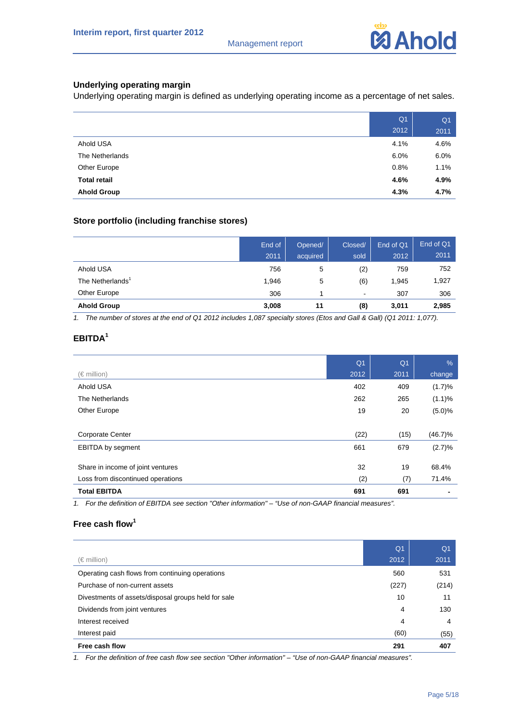

#### **Underlying operating margin**

Underlying operating margin is defined as underlying operating income as a percentage of net sales.

|                     | Q <sub>1</sub> | Q <sub>1</sub> |
|---------------------|----------------|----------------|
|                     | 2012           | 2011           |
| Ahold USA           | 4.1%           | 4.6%           |
| The Netherlands     | 6.0%           | 6.0%           |
| Other Europe        | 0.8%           | 1.1%           |
| <b>Total retail</b> | 4.6%           | 4.9%           |
| <b>Ahold Group</b>  | 4.3%           | 4.7%           |

#### **Store portfolio (including franchise stores)**

|                              | End of<br>2011 | Opened/<br>acquired | Closed/<br>sold | End of Q1<br>2012 | End of Q1<br>2011 |
|------------------------------|----------------|---------------------|-----------------|-------------------|-------------------|
| Ahold USA                    | 756            | 5                   | (2)             | 759               | 752               |
| The Netherlands <sup>1</sup> | 1,946          | 5                   | (6)             | 1,945             | 1,927             |
| Other Europe                 | 306            |                     | $\blacksquare$  | 307               | 306               |
| <b>Ahold Group</b>           | 3,008          | 11                  | (8)             | 3,011             | 2,985             |

1. The number of stores at the end of Q1 2012 includes 1,087 specialty stores (Etos and Gall & Gall) (Q1 2011: 1,077).

### **EBITDA<sup>1</sup>**

|                                   | Q <sub>1</sub> | Q <sub>1</sub> | $\%$       |
|-----------------------------------|----------------|----------------|------------|
| $(\in$ million)                   | 2012           | 2011           | change     |
| Ahold USA                         | 402            | 409            | (1.7)%     |
| The Netherlands                   | 262            | 265            | (1.1)%     |
| Other Europe                      | 19             | 20             | (5.0)%     |
|                                   |                |                |            |
| <b>Corporate Center</b>           | (22)           | (15)           | $(46.7)\%$ |
| <b>EBITDA</b> by segment          | 661            | 679            | (2.7)%     |
|                                   |                |                |            |
| Share in income of joint ventures | 32             | 19             | 68.4%      |
| Loss from discontinued operations | (2)            | (7)            | 71.4%      |
| <b>Total EBITDA</b>               | 691            | 691            |            |

*1. For the definition of EBITDA see section "Other information" – "Use of non-GAAP financial measures".* 

#### **Free cash flow<sup>1</sup>**

|                                                     | Q <sub>1</sub> | Q <sub>1</sub> |
|-----------------------------------------------------|----------------|----------------|
| $(\in$ million)                                     | 2012           | 2011           |
| Operating cash flows from continuing operations     | 560            | 531            |
| Purchase of non-current assets                      | (227)          | (214)          |
| Divestments of assets/disposal groups held for sale | 10             | 11             |
| Dividends from joint ventures                       | 4              | 130            |
| Interest received                                   | 4              | 4              |
| Interest paid                                       | (60)           | (55)           |
| Free cash flow                                      | 291            | 407            |

1. For the definition of free cash flow see section "Other information" – "Use of non-GAAP financial measures".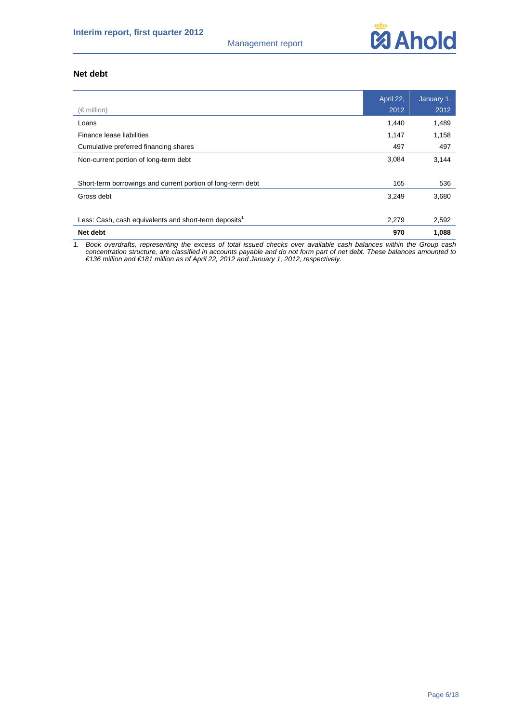

#### **Net debt**

|                                                                   | April 22, | January 1, |
|-------------------------------------------------------------------|-----------|------------|
| $(\in$ million)                                                   | 2012      | 2012       |
| Loans                                                             | 1,440     | 1,489      |
| Finance lease liabilities                                         | 1,147     | 1,158      |
| Cumulative preferred financing shares                             | 497       | 497        |
| Non-current portion of long-term debt                             | 3,084     | 3,144      |
|                                                                   |           |            |
| Short-term borrowings and current portion of long-term debt       | 165       | 536        |
| Gross debt                                                        | 3,249     | 3,680      |
|                                                                   |           |            |
| Less: Cash, cash equivalents and short-term deposits <sup>1</sup> | 2,279     | 2,592      |
| Net debt                                                          | 970       | 1,088      |

*1. Book overdrafts, representing the excess of total issued checks over available cash balances within the Group cash concentration structure, are classified in accounts payable and do not form part of net debt. These balances amounted to €136 million and €181 million as of April 22, 2012 and January 1, 2012, respectively.*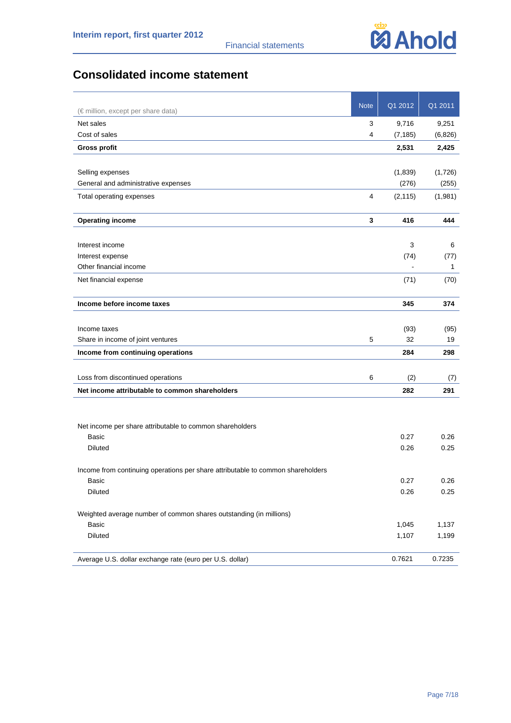

# **Consolidated income statement**

|                                                                                 | <b>Note</b>    | Q1 2012  | Q1 2011      |
|---------------------------------------------------------------------------------|----------------|----------|--------------|
| (€ million, except per share data)                                              |                |          |              |
| Net sales                                                                       | 3              | 9,716    | 9,251        |
| Cost of sales                                                                   | 4              | (7, 185) | (6,826)      |
| <b>Gross profit</b>                                                             |                | 2,531    | 2,425        |
|                                                                                 |                |          |              |
| Selling expenses                                                                |                | (1,839)  | (1,726)      |
| General and administrative expenses                                             |                | (276)    | (255)        |
| Total operating expenses                                                        | $\overline{4}$ | (2, 115) | (1,981)      |
| <b>Operating income</b>                                                         | $\mathbf{3}$   | 416      | 444          |
|                                                                                 |                |          |              |
| Interest income                                                                 |                | 3        | 6            |
| Interest expense<br>Other financial income                                      |                | (74)     | (77)         |
|                                                                                 |                |          | $\mathbf{1}$ |
| Net financial expense                                                           |                | (71)     | (70)         |
| Income before income taxes                                                      |                | 345      | 374          |
|                                                                                 |                |          |              |
| Income taxes                                                                    |                | (93)     | (95)         |
| Share in income of joint ventures                                               | 5              | 32       | 19           |
| Income from continuing operations                                               |                | 284      | 298          |
| Loss from discontinued operations                                               | 6              | (2)      | (7)          |
| Net income attributable to common shareholders                                  |                | 282      | 291          |
|                                                                                 |                |          |              |
| Net income per share attributable to common shareholders                        |                |          |              |
| <b>Basic</b>                                                                    |                | 0.27     | 0.26         |
| Diluted                                                                         |                | 0.26     | 0.25         |
| Income from continuing operations per share attributable to common shareholders |                |          |              |
| Basic                                                                           |                | 0.27     | 0.26         |
| <b>Diluted</b>                                                                  |                | 0.26     | 0.25         |
| Weighted average number of common shares outstanding (in millions)              |                |          |              |
| Basic                                                                           |                | 1,045    | 1,137        |
| <b>Diluted</b>                                                                  |                | 1,107    | 1,199        |
| Average U.S. dollar exchange rate (euro per U.S. dollar)                        |                | 0.7621   | 0.7235       |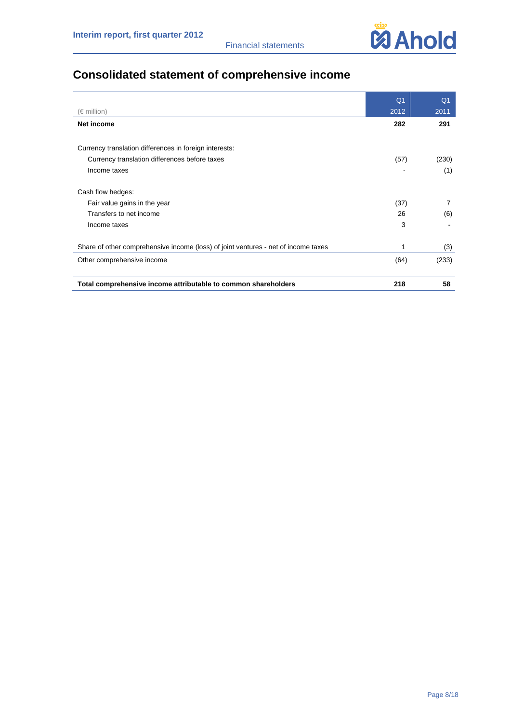

# **Consolidated statement of comprehensive income**

|                                                                                    | Q <sub>1</sub> | Q <sub>1</sub> |
|------------------------------------------------------------------------------------|----------------|----------------|
| (€ million)                                                                        | 2012           | 2011           |
| Net income                                                                         | 282            | 291            |
|                                                                                    |                |                |
| Currency translation differences in foreign interests:                             |                |                |
| Currency translation differences before taxes                                      | (57)           | (230)          |
| Income taxes                                                                       |                | (1)            |
| Cash flow hedges:                                                                  |                |                |
| Fair value gains in the year                                                       | (37)           | 7              |
| Transfers to net income                                                            | 26             | (6)            |
| Income taxes                                                                       | 3              |                |
| Share of other comprehensive income (loss) of joint ventures - net of income taxes | 1              | (3)            |
| Other comprehensive income                                                         | (64)           | (233)          |
| Total comprehensive income attributable to common shareholders                     | 218            | 58             |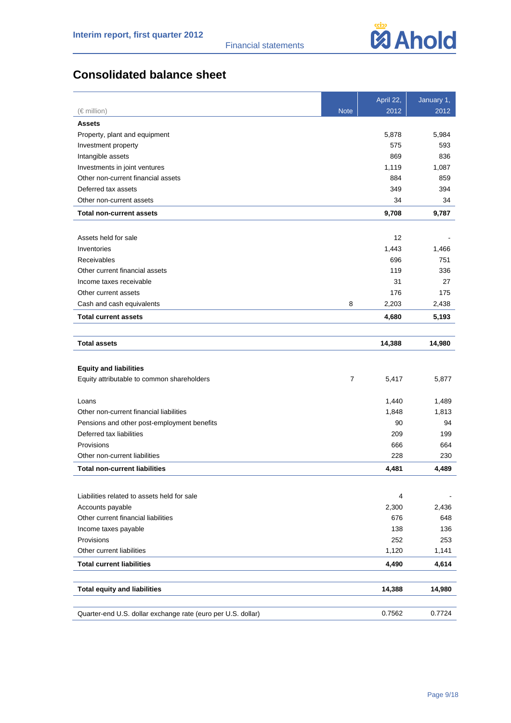

# **Consolidated balance sheet**

|                                                              |             | April 22, | January 1, |
|--------------------------------------------------------------|-------------|-----------|------------|
| $(\in$ million)                                              | <b>Note</b> | 2012      | 2012       |
| <b>Assets</b>                                                |             |           |            |
| Property, plant and equipment                                |             | 5,878     | 5,984      |
| Investment property                                          |             | 575       | 593        |
| Intangible assets                                            |             | 869       | 836        |
| Investments in joint ventures                                |             | 1,119     | 1,087      |
| Other non-current financial assets                           |             | 884       | 859        |
| Deferred tax assets                                          |             | 349       | 394        |
| Other non-current assets                                     |             | 34        | 34         |
| <b>Total non-current assets</b>                              |             | 9,708     | 9,787      |
| Assets held for sale                                         |             | 12        |            |
| Inventories                                                  |             | 1,443     | 1,466      |
| Receivables                                                  |             | 696       | 751        |
| Other current financial assets                               |             | 119       | 336        |
| Income taxes receivable                                      |             | 31        | 27         |
| Other current assets                                         |             | 176       | 175        |
| Cash and cash equivalents                                    | 8           | 2,203     | 2,438      |
| <b>Total current assets</b>                                  |             | 4,680     | 5,193      |
|                                                              |             |           |            |
| <b>Total assets</b>                                          |             | 14,388    | 14,980     |
| <b>Equity and liabilities</b>                                |             |           |            |
| Equity attributable to common shareholders                   | 7           | 5,417     | 5,877      |
|                                                              |             |           |            |
| Loans                                                        |             | 1,440     | 1,489      |
| Other non-current financial liabilities                      |             | 1,848     | 1,813      |
| Pensions and other post-employment benefits                  |             | 90        | 94         |
| Deferred tax liabilities                                     |             | 209       | 199        |
| Provisions                                                   |             | 666       | 664        |
| Other non-current liabilities                                |             | 228       | 230        |
| <b>Total non-current liabilities</b>                         |             | 4,481     | 4,489      |
|                                                              |             |           |            |
| Liabilities related to assets held for sale                  |             | 4         |            |
| Accounts payable                                             |             | 2,300     | 2,436      |
| Other current financial liabilities                          |             | 676       | 648        |
| Income taxes payable                                         |             | 138       | 136        |
| Provisions                                                   |             | 252       | 253        |
| Other current liabilities                                    |             | 1,120     | 1,141      |
| <b>Total current liabilities</b>                             |             | 4,490     | 4,614      |
| <b>Total equity and liabilities</b>                          |             | 14,388    | 14,980     |
|                                                              |             |           |            |
| Quarter-end U.S. dollar exchange rate (euro per U.S. dollar) |             | 0.7562    | 0.7724     |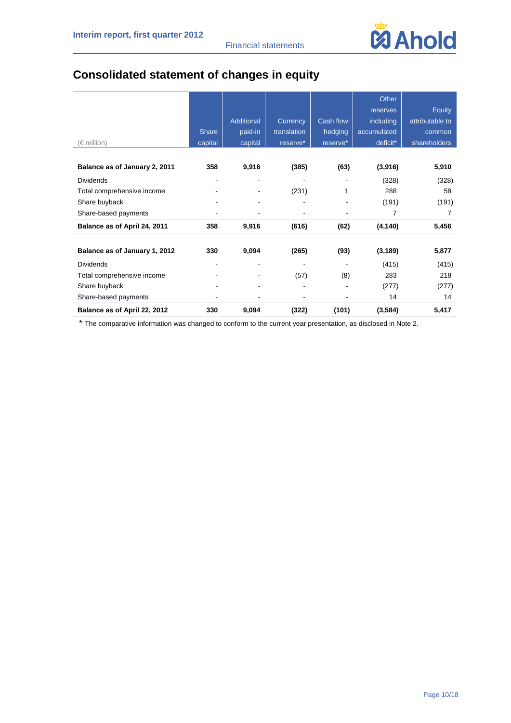

# **Consolidated statement of changes in equity**

|                               |              |            |             |                | Other          |                 |
|-------------------------------|--------------|------------|-------------|----------------|----------------|-----------------|
|                               |              |            |             |                | reserves       | Equity          |
|                               |              | Additional | Currency    | Cash flow      | including      | attributable to |
|                               | <b>Share</b> | paid-in    | translation | hedging        | accumulated    | common          |
| (€ million)                   | capital      | capital    | reserve*    | reserve*       | deficit*       | shareholders    |
|                               |              |            |             |                |                |                 |
| Balance as of January 2, 2011 | 358          | 9,916      | (385)       | (63)           | (3,916)        | 5,910           |
| <b>Dividends</b>              |              |            |             |                | (328)          | (328)           |
| Total comprehensive income    |              |            | (231)       | 1              | 288            | 58              |
| Share buyback                 |              |            |             | $\blacksquare$ | (191)          | (191)           |
| Share-based payments          |              |            |             |                | $\overline{7}$ | 7               |
| Balance as of April 24, 2011  | 358          | 9,916      | (616)       | (62)           | (4, 140)       | 5,456           |
|                               |              |            |             |                |                |                 |
| Balance as of January 1, 2012 | 330          | 9,094      | (265)       | (93)           | (3, 189)       | 5,877           |
| <b>Dividends</b>              |              |            |             |                | (415)          | (415)           |
| Total comprehensive income    |              |            | (57)        | (8)            | 283            | 218             |
| Share buyback                 |              |            |             |                | (277)          | (277)           |
| Share-based payments          |              |            |             |                | 14             | 14              |
| Balance as of April 22, 2012  | 330          | 9,094      | (322)       | (101)          | (3, 584)       | 5,417           |

\* The comparative information was changed to conform to the current year presentation, as disclosed in Note 2.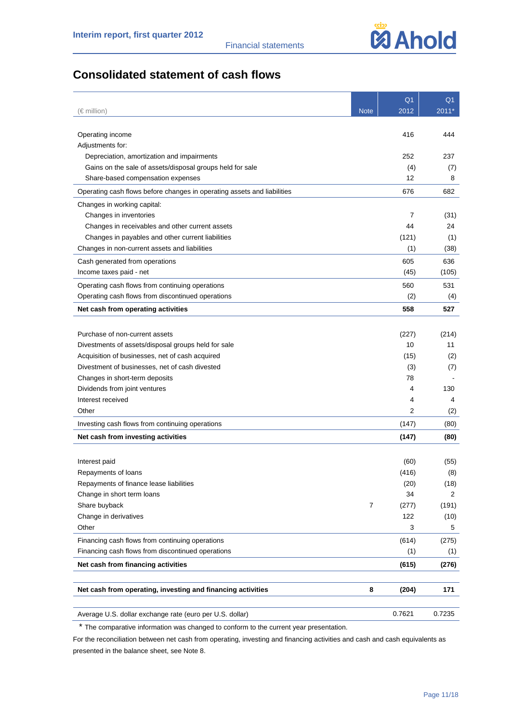

# **Consolidated statement of cash flows**

|                                                                         |             | Q <sub>1</sub> | Q <sub>1</sub> |
|-------------------------------------------------------------------------|-------------|----------------|----------------|
| (€ million)                                                             | <b>Note</b> | 2012           | 2011*          |
|                                                                         |             |                |                |
| Operating income                                                        |             | 416            | 444            |
| Adjustments for:                                                        |             |                |                |
| Depreciation, amortization and impairments                              |             | 252            | 237            |
| Gains on the sale of assets/disposal groups held for sale               |             | (4)            | (7)            |
| Share-based compensation expenses                                       |             | 12             | 8              |
| Operating cash flows before changes in operating assets and liabilities |             | 676            | 682            |
| Changes in working capital:                                             |             |                |                |
| Changes in inventories                                                  |             | 7              | (31)           |
| Changes in receivables and other current assets                         |             | 44             | 24             |
| Changes in payables and other current liabilities                       |             | (121)          | (1)            |
| Changes in non-current assets and liabilities                           |             | (1)            | (38)           |
| Cash generated from operations                                          |             | 605            | 636            |
| Income taxes paid - net                                                 |             | (45)           | (105)          |
| Operating cash flows from continuing operations                         |             | 560            | 531            |
| Operating cash flows from discontinued operations                       |             | (2)            | (4)            |
| Net cash from operating activities                                      |             | 558            | 527            |
|                                                                         |             |                |                |
| Purchase of non-current assets                                          |             | (227)          | (214)          |
| Divestments of assets/disposal groups held for sale                     |             | 10             | 11             |
| Acquisition of businesses, net of cash acquired                         |             | (15)           | (2)            |
| Divestment of businesses, net of cash divested                          |             | (3)            | (7)            |
| Changes in short-term deposits                                          |             | 78             |                |
| Dividends from joint ventures                                           |             | 4              | 130            |
| Interest received                                                       |             | 4              | 4              |
| Other                                                                   |             | 2              | (2)            |
| Investing cash flows from continuing operations                         |             | (147)          | (80)           |
| Net cash from investing activities                                      |             | (147)          | (80)           |
|                                                                         |             |                |                |
| Interest paid                                                           |             | (60)           | (55)           |
| Repayments of loans                                                     |             | (416)          | (8)            |
| Repayments of finance lease liabilities                                 |             | (20)           | (18)           |
| Change in short term loans                                              |             | 34             | 2              |
| Share buyback                                                           | 7           | (277)          | (191)          |
| Change in derivatives                                                   |             | 122            | (10)           |
| Other                                                                   |             | 3              | 5              |
| Financing cash flows from continuing operations                         |             | (614)          | (275)          |
| Financing cash flows from discontinued operations                       |             | (1)            | (1)            |
| Net cash from financing activities                                      |             | (615)          | (276)          |
|                                                                         |             |                |                |
| Net cash from operating, investing and financing activities             | 8           | (204)          | 171            |
|                                                                         |             |                |                |
| Average U.S. dollar exchange rate (euro per U.S. dollar)                |             | 0.7621         | 0.7235         |

\* The comparative information was changed to conform to the current year presentation.

For the reconciliation between net cash from operating, investing and financing activities and cash and cash equivalents as presented in the balance sheet, see Note 8.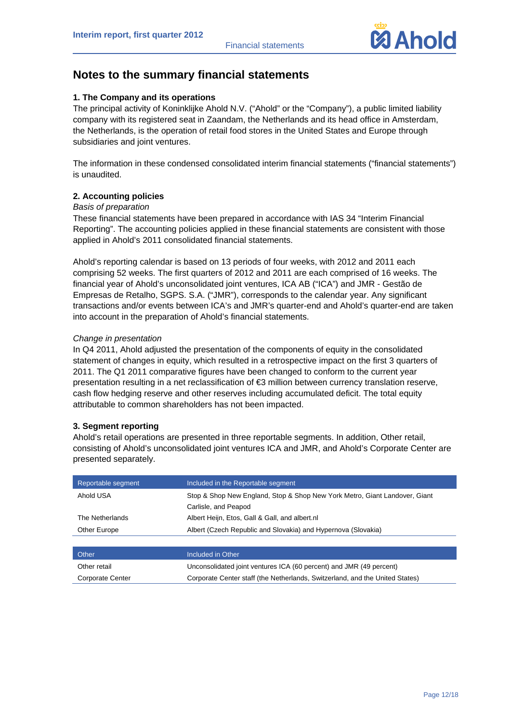

# **Notes to the summary financial statements**

#### **1. The Company and its operations**

The principal activity of Koninklijke Ahold N.V. ("Ahold" or the "Company"), a public limited liability company with its registered seat in Zaandam, the Netherlands and its head office in Amsterdam, the Netherlands, is the operation of retail food stores in the United States and Europe through subsidiaries and joint ventures.

The information in these condensed consolidated interim financial statements ("financial statements") is unaudited.

#### **2. Accounting policies**

#### *Basis of preparation*

These financial statements have been prepared in accordance with IAS 34 "Interim Financial Reporting". The accounting policies applied in these financial statements are consistent with those applied in Ahold's 2011 consolidated financial statements.

Ahold's reporting calendar is based on 13 periods of four weeks, with 2012 and 2011 each comprising 52 weeks. The first quarters of 2012 and 2011 are each comprised of 16 weeks. The financial year of Ahold's unconsolidated joint ventures, ICA AB ("ICA") and JMR - Gestão de Empresas de Retalho, SGPS. S.A. ("JMR"), corresponds to the calendar year. Any significant transactions and/or events between ICA's and JMR's quarter-end and Ahold's quarter-end are taken into account in the preparation of Ahold's financial statements.

#### *Change in presentation*

In Q4 2011, Ahold adjusted the presentation of the components of equity in the consolidated statement of changes in equity, which resulted in a retrospective impact on the first 3 quarters of 2011. The Q1 2011 comparative figures have been changed to conform to the current year presentation resulting in a net reclassification of €3 million between currency translation reserve, cash flow hedging reserve and other reserves including accumulated deficit. The total equity attributable to common shareholders has not been impacted.

#### **3. Segment reporting**

Ahold's retail operations are presented in three reportable segments. In addition, Other retail, consisting of Ahold's unconsolidated joint ventures ICA and JMR, and Ahold's Corporate Center are presented separately.

| Reportable segment      | Included in the Reportable segment                                           |
|-------------------------|------------------------------------------------------------------------------|
| Ahold USA               | Stop & Shop New England, Stop & Shop New York Metro, Giant Landover, Giant   |
|                         | Carlisle, and Peapod                                                         |
| The Netherlands         | Albert Heijn, Etos, Gall & Gall, and albert.nl                               |
| Other Europe            | Albert (Czech Republic and Slovakia) and Hypernova (Slovakia)                |
|                         |                                                                              |
| Other                   | Included in Other                                                            |
| Other retail            | Unconsolidated joint ventures ICA (60 percent) and JMR (49 percent)          |
| <b>Corporate Center</b> | Corporate Center staff (the Netherlands, Switzerland, and the United States) |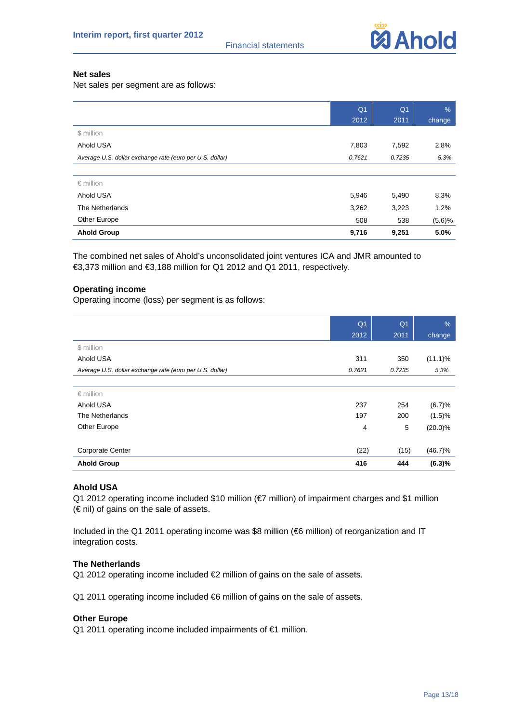

#### **Net sales**

Net sales per segment are as follows:

|                                                          | Q <sub>1</sub> | Q <sub>1</sub> | %      |
|----------------------------------------------------------|----------------|----------------|--------|
|                                                          | 2012           | 2011           | change |
| \$ million                                               |                |                |        |
| Ahold USA                                                | 7,803          | 7,592          | 2.8%   |
| Average U.S. dollar exchange rate (euro per U.S. dollar) | 0.7621         | 0.7235         | 5.3%   |
|                                                          |                |                |        |
| $\epsilon$ million                                       |                |                |        |
| Ahold USA                                                | 5,946          | 5,490          | 8.3%   |
| The Netherlands                                          | 3,262          | 3,223          | 1.2%   |
| Other Europe                                             | 508            | 538            | (5.6)% |
| <b>Ahold Group</b>                                       | 9,716          | 9,251          | 5.0%   |

The combined net sales of Ahold's unconsolidated joint ventures ICA and JMR amounted to €3,373 million and €3,188 million for Q1 2012 and Q1 2011, respectively.

#### **Operating income**

Operating income (loss) per segment is as follows:

|                                                          | Q <sub>1</sub> | Q <sub>1</sub> | $\%$       |
|----------------------------------------------------------|----------------|----------------|------------|
|                                                          | 2012           | 2011           | change     |
| \$ million                                               |                |                |            |
| Ahold USA                                                | 311            | 350            | $(11.1)\%$ |
| Average U.S. dollar exchange rate (euro per U.S. dollar) | 0.7621         | 0.7235         | 5.3%       |
|                                                          |                |                |            |
| $\epsilon$ million                                       |                |                |            |
| Ahold USA                                                | 237            | 254            | (6.7)%     |
| The Netherlands                                          | 197            | 200            | (1.5)%     |
| Other Europe                                             | 4              | 5              | $(20.0)\%$ |
|                                                          |                |                |            |
| <b>Corporate Center</b>                                  | (22)           | (15)           | (46.7)%    |
| <b>Ahold Group</b>                                       | 416            | 444            | (6.3)%     |

#### **Ahold USA**

Q1 2012 operating income included \$10 million (€7 million) of impairment charges and \$1 million  $(\in$  nil) of gains on the sale of assets.

Included in the Q1 2011 operating income was \$8 million (€6 million) of reorganization and IT integration costs.

#### **The Netherlands**

Q1 2012 operating income included €2 million of gains on the sale of assets.

Q1 2011 operating income included €6 million of gains on the sale of assets.

#### **Other Europe**

Q1 2011 operating income included impairments of €1 million.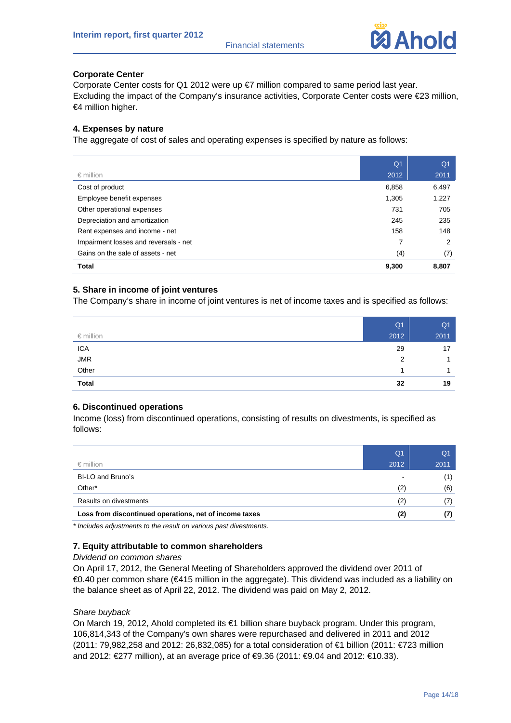

#### **Corporate Center**

Corporate Center costs for Q1 2012 were up  $\epsilon$ 7 million compared to same period last year. Excluding the impact of the Company's insurance activities, Corporate Center costs were €23 million, €4 million higher.

#### **4. Expenses by nature**

The aggregate of cost of sales and operating expenses is specified by nature as follows:

|                                       | Q <sub>1</sub> | Q <sub>1</sub> |
|---------------------------------------|----------------|----------------|
| $\epsilon$ million                    | 2012           | 2011           |
| Cost of product                       | 6,858          | 6,497          |
| Employee benefit expenses             | 1,305          | 1,227          |
| Other operational expenses            | 731            | 705            |
| Depreciation and amortization         | 245            | 235            |
| Rent expenses and income - net        | 158            | 148            |
| Impairment losses and reversals - net | 7              | 2              |
| Gains on the sale of assets - net     | (4)            | (7)            |
| Total                                 | 9,300          | 8,807          |

#### **5. Share in income of joint ventures**

The Company's share in income of joint ventures is net of income taxes and is specified as follows:

|                    | Q <sub>1</sub> | Q <sub>1</sub> |
|--------------------|----------------|----------------|
| $\epsilon$ million | 2012           | 2011           |
| <b>ICA</b>         | 29             | 17             |
| <b>JMR</b>         | 2              |                |
| Other              |                |                |
| <b>Total</b>       | 32             | 19             |

#### **6. Discontinued operations**

Income (loss) from discontinued operations, consisting of results on divestments, is specified as follows:

|                                                        | Q <sub>1</sub>           | Q <sub>1</sub> |
|--------------------------------------------------------|--------------------------|----------------|
| $\epsilon$ million                                     | 2012                     | 2011           |
| BI-LO and Bruno's                                      | $\overline{\phantom{a}}$ | (1)            |
| Other*                                                 | (2)                      | (6)            |
| Results on divestments                                 | (2)                      | (7)            |
| Loss from discontinued operations, net of income taxes | (2)                      | (7)            |

*\* Includes adjustments to the result on various past divestments.* 

#### **7. Equity attributable to common shareholders**

#### *Dividend on common shares*

On April 17, 2012, the General Meeting of Shareholders approved the dividend over 2011 of €0.40 per common share (€415 million in the aggregate). This dividend was included as a liability on the balance sheet as of April 22, 2012. The dividend was paid on May 2, 2012.

#### *Share buyback*

On March 19, 2012, Ahold completed its €1 billion share buyback program. Under this program, 106,814,343 of the Company's own shares were repurchased and delivered in 2011 and 2012 (2011: 79,982,258 and 2012: 26,832,085) for a total consideration of €1 billion (2011: €723 million and 2012: €277 million), at an average price of €9.36 (2011: €9.04 and 2012: €10.33).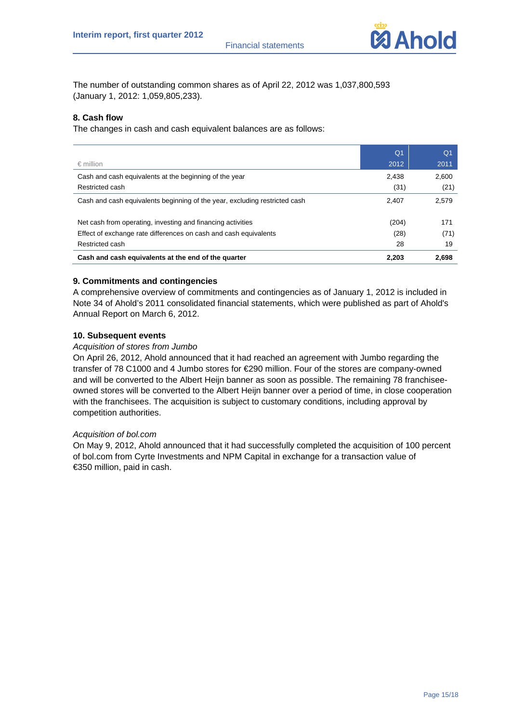

The number of outstanding common shares as of April 22, 2012 was 1,037,800,593 (January 1, 2012: 1,059,805,233).

#### **8. Cash flow**

The changes in cash and cash equivalent balances are as follows:

|                                                                            | Q <sub>1</sub> | Q <sub>1</sub> |
|----------------------------------------------------------------------------|----------------|----------------|
| $\epsilon$ million                                                         | 2012           | 2011           |
| Cash and cash equivalents at the beginning of the year                     | 2,438          | 2,600          |
| Restricted cash                                                            | (31)           | (21)           |
| Cash and cash equivalents beginning of the year, excluding restricted cash | 2.407          | 2,579          |
| Net cash from operating, investing and financing activities                | (204)          | 171            |
| Effect of exchange rate differences on cash and cash equivalents           | (28)           | (71)           |
| Restricted cash                                                            | 28             | 19             |
| Cash and cash equivalents at the end of the quarter                        | 2,203          | 2,698          |

#### **9. Commitments and contingencies**

A comprehensive overview of commitments and contingencies as of January 1, 2012 is included in Note 34 of Ahold's 2011 consolidated financial statements, which were published as part of Ahold's Annual Report on March 6, 2012.

#### **10. Subsequent events**

#### *Acquisition of stores from Jumbo*

On April 26, 2012, Ahold announced that it had reached an agreement with Jumbo regarding the transfer of 78 C1000 and 4 Jumbo stores for €290 million. Four of the stores are company-owned and will be converted to the Albert Heijn banner as soon as possible. The remaining 78 franchiseeowned stores will be converted to the Albert Heijn banner over a period of time, in close cooperation with the franchisees. The acquisition is subject to customary conditions, including approval by competition authorities.

#### *Acquisition of bol.com*

On May 9, 2012, Ahold announced that it had successfully completed the acquisition of 100 percent of bol.com from Cyrte Investments and NPM Capital in exchange for a transaction value of €350 million, paid in cash.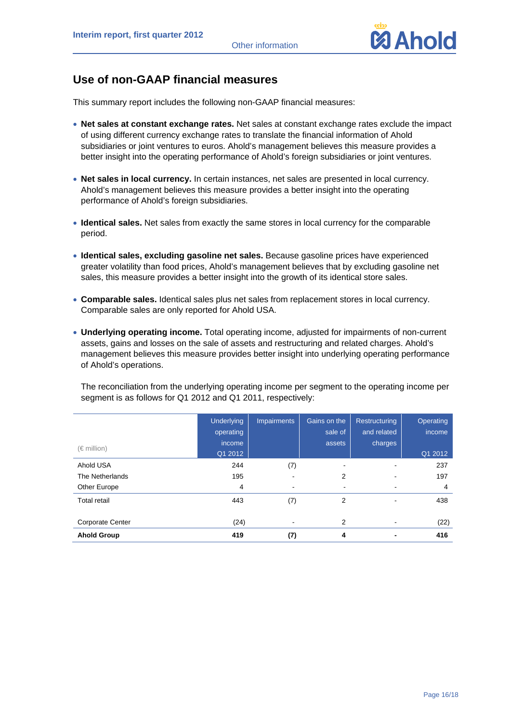

# **Use of non-GAAP financial measures**

This summary report includes the following non-GAAP financial measures:

- **Net sales at constant exchange rates.** Net sales at constant exchange rates exclude the impact of using different currency exchange rates to translate the financial information of Ahold subsidiaries or joint ventures to euros. Ahold's management believes this measure provides a better insight into the operating performance of Ahold's foreign subsidiaries or joint ventures.
- **Net sales in local currency.** In certain instances, net sales are presented in local currency. Ahold's management believes this measure provides a better insight into the operating performance of Ahold's foreign subsidiaries.
- **Identical sales.** Net sales from exactly the same stores in local currency for the comparable period.
- **Identical sales, excluding gasoline net sales.** Because gasoline prices have experienced greater volatility than food prices, Ahold's management believes that by excluding gasoline net sales, this measure provides a better insight into the growth of its identical store sales.
- **Comparable sales.** Identical sales plus net sales from replacement stores in local currency. Comparable sales are only reported for Ahold USA.
- **Underlying operating income.** Total operating income, adjusted for impairments of non-current assets, gains and losses on the sale of assets and restructuring and related charges. Ahold's management believes this measure provides better insight into underlying operating performance of Ahold's operations.

The reconciliation from the underlying operating income per segment to the operating income per segment is as follows for Q1 2012 and Q1 2011, respectively:

|                         | <b>Underlying</b> | <b>Impairments</b> | Gains on the   | Restructuring  | Operating |
|-------------------------|-------------------|--------------------|----------------|----------------|-----------|
|                         | operating         |                    | sale of        | and related    | income    |
| (€ million)             | income            |                    | assets         | charges        |           |
|                         | Q1 2012           |                    |                |                | Q1 2012   |
| Ahold USA               | 244               | (7)                | ٠              | ۰              | 237       |
| The Netherlands         | 195               | ۰                  | $\overline{2}$ | -              | 197       |
| Other Europe            | 4                 | ٠                  | ۰              |                | 4         |
| <b>Total retail</b>     | 443               | (7)                | 2              |                | 438       |
| <b>Corporate Center</b> | (24)              | ٠                  | 2              |                | (22)      |
| <b>Ahold Group</b>      | 419               | (7)                | 4              | $\blacksquare$ | 416       |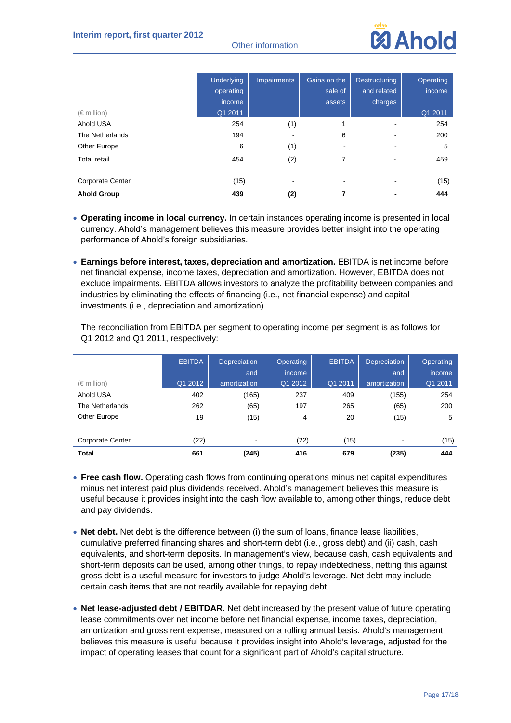

|                         | <b>Underlying</b><br>operating | <b>Impairments</b>       | Gains on the<br>sale of | Restructuring<br>and related | Operating<br>income |
|-------------------------|--------------------------------|--------------------------|-------------------------|------------------------------|---------------------|
|                         | income                         |                          | assets                  | charges                      |                     |
| $(\in$ million)         | Q1 2011                        |                          |                         |                              | Q1 2011             |
| Ahold USA               | 254                            | (1)                      |                         | -                            | 254                 |
| The Netherlands         | 194                            | $\overline{\phantom{a}}$ | 6                       | ۰                            | 200                 |
| Other Europe            | 6                              | (1)                      | ۰                       | ۰                            | 5                   |
| <b>Total retail</b>     | 454                            | (2)                      | 7                       | $\overline{\phantom{0}}$     | 459                 |
| <b>Corporate Center</b> | (15)                           | ٠                        | ٠                       |                              | (15)                |
| <b>Ahold Group</b>      | 439                            | (2)                      | 7                       | -                            | 444                 |

- **Operating income in local currency.** In certain instances operating income is presented in local currency. Ahold's management believes this measure provides better insight into the operating performance of Ahold's foreign subsidiaries.
- **Earnings before interest, taxes, depreciation and amortization.** EBITDA is net income before net financial expense, income taxes, depreciation and amortization. However, EBITDA does not exclude impairments. EBITDA allows investors to analyze the profitability between companies and industries by eliminating the effects of financing (i.e., net financial expense) and capital investments (i.e., depreciation and amortization).

The reconciliation from EBITDA per segment to operating income per segment is as follows for Q1 2012 and Q1 2011, respectively:

|                         | <b>EBITDA</b> | <b>Depreciation</b> | <b>Operating</b> | <b>EBITDA</b> | <b>Depreciation</b> | <b>Operating</b> |
|-------------------------|---------------|---------------------|------------------|---------------|---------------------|------------------|
|                         |               | and                 | <i>income</i>    |               | and                 | income           |
| (€ million)             | Q1 2012       | amortization        | Q1 2012          | Q1 2011       | amortization        | Q1 2011          |
| Ahold USA               | 402           | (165)               | 237              | 409           | (155)               | 254              |
| The Netherlands         | 262           | (65)                | 197              | 265           | (65)                | 200              |
| Other Europe            | 19            | (15)                | 4                | 20            | (15)                | 5                |
|                         |               |                     |                  |               |                     |                  |
| <b>Corporate Center</b> | (22)          | ۰                   | (22)             | (15)          | ۰                   | (15)             |
| <b>Total</b>            | 661           | (245)               | 416              | 679           | (235)               | 444              |

- **Free cash flow.** Operating cash flows from continuing operations minus net capital expenditures minus net interest paid plus dividends received. Ahold's management believes this measure is useful because it provides insight into the cash flow available to, among other things, reduce debt and pay dividends.
- **Net debt.** Net debt is the difference between (i) the sum of loans, finance lease liabilities, cumulative preferred financing shares and short-term debt (i.e., gross debt) and (ii) cash, cash equivalents, and short-term deposits. In management's view, because cash, cash equivalents and short-term deposits can be used, among other things, to repay indebtedness, netting this against gross debt is a useful measure for investors to judge Ahold's leverage. Net debt may include certain cash items that are not readily available for repaying debt.
- **Net lease-adjusted debt / EBITDAR.** Net debt increased by the present value of future operating lease commitments over net income before net financial expense, income taxes, depreciation, amortization and gross rent expense, measured on a rolling annual basis. Ahold's management believes this measure is useful because it provides insight into Ahold's leverage, adjusted for the impact of operating leases that count for a significant part of Ahold's capital structure.